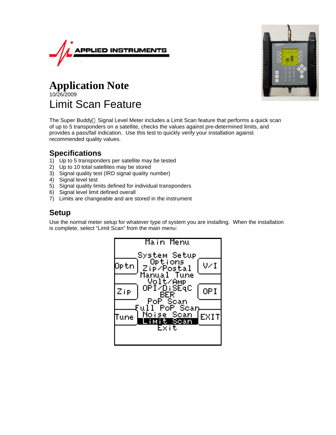



# **Application Note** 10/26/2009 Limit Scan Feature

The Super Buddy<sup>™</sup> Signal Level Meter includes a Limit Scan feature that performs a quick scan of up to 5 transponders on a satellite, checks the values against pre-determined limits, and provides a pass/fail indication. Use this test to quickly verify your installation against recommended quality values.

### **Specifications**

- 1) Up to 5 transponders per satellite may be tested
- 2) Up to 10 total satellites may be stored
- 3) Signal quality test (IRD signal quality number)
- 4) Signal level test
- 5) Signal quality limits defined for individual transponders
- 6) Signal level limit defined overall
- 7) Limits are changeable and are stored in the instrument

## **Setup**

Use the normal meter setup for whatever type of system you are installing. When the installation is complete, select "Limit Scan" from the main menu:

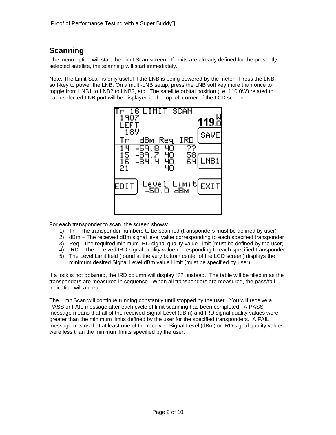## **Scanning**

The menu option will start the Limit Scan screen. If limits are already defined for the presently selected satellite, the scanning will start immediately.

Note: The Limit Scan is only useful if the LNB is being powered by the meter. Press the LNB soft-key to power the LNB. On a multi-LNB setup, press the LNB soft key more than once to toggle from LNB1 to LNB2 to LNB3, etc. The satellite orbital position (i.e. 110.0W) related to each selected LNB port will be displayed in the top left corner of the LCD screen.



For each transponder to scan, the screen shows:

- 1) Tr The transponder numbers to be scanned (transponders must be defined by user)
- 2) dBm The received dBm signal level value corresponding to each specified transponder
- 3) Req The required minimum IRD signal quality value Limit (must be defined by the user)
- 4) IRD The received IRD signal quality value corresponding to each specified transponder
- 5) The Level Limit field (found at the very bottom center of the LCD screen) displays the minimum desired Signal Level dBm value Limit (must be specified by user).

If a lock is not obtained, the IRD column will display "??" instead. The table will be filled in as the transponders are measured in sequence. When all transponders are measured, the pass/fail indication will appear.

The Limit Scan will continue running constantly until stopped by the user. You will receive a PASS or FAIL message after each cycle of limit scanning has been completed. A PASS message means that all of the received Signal Level (dBm) and IRD signal quality values were greater than the minimum limits defined by the user for the specified transponders. A FAIL message means that at least one of the received Signal Level (dBm) or IRD signal quality values were less than the minimum limits specified by the user.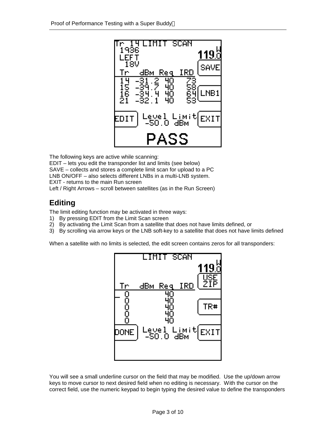

The following keys are active while scanning: EDIT – lets you edit the transponder list and limits (see below) SAVE – collects and stores a complete limit scan for upload to a PC LNB ON/OFF – also selects different LNBs in a multi-LNB system. EXIT - returns to the main Run screen Left / Right Arrows – scroll between satellites (as in the Run Screen)

## **Editing**

The limit editing function may be activated in three ways:

- 1) By pressing EDIT from the Limit Scan screen
- 2) By activating the Limit Scan from a satellite that does not have limits defined, or
- 3) By scrolling via arrow keys or the LNB soft-key to a satellite that does not have limits defined

When a satellite with no limits is selected, the edit screen contains zeros for all transponders:



You will see a small underline cursor on the field that may be modified. Use the up/down arrow keys to move cursor to next desired field when no editing is necessary. With the cursor on the correct field, use the numeric keypad to begin typing the desired value to define the transponders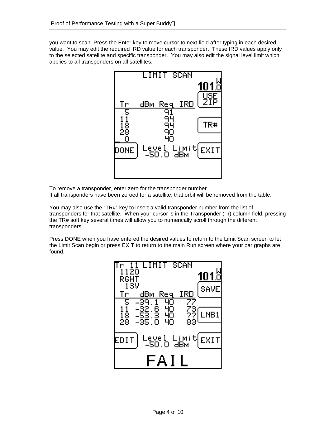you want to scan. Press the Enter key to move cursor to next field after typing in each desired value. You may edit the required IRD value for each transponder. These IRD values apply only to the selected satellite and specific transponder. You may also edit the signal level limit which applies to all transponders on all satellites.



To remove a transponder, enter zero for the transponder number.

If all transponders have been zeroed for a satellite, that orbit will be removed from the table.

You may also use the "TR#" key to insert a valid transponder number from the list of transponders for that satellite. When your cursor is in the Transponder (Tr) column field, pressing the TR# soft key several times will allow you to numerically scroll through the different transponders.

Press DONE when you have entered the desired values to return to the Limit Scan screen to let the Limit Scan begin or press EXIT to return to the main Run screen where your bar graphs are found.

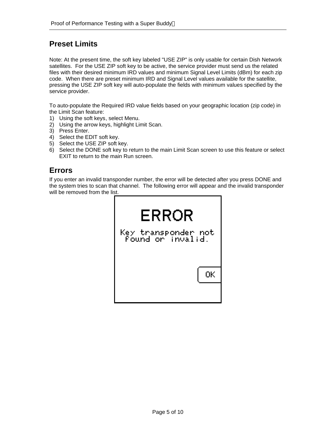### **Preset Limits**

Note: At the present time, the soft key labeled "USE ZIP" is only usable for certain Dish Network satellites. For the USE ZIP soft key to be active, the service provider must send us the related files with their desired minimum IRD values and minimum Signal Level Limits (dBm) for each zip code. When there are preset minimum IRD and Signal Level values available for the satellite, pressing the USE ZIP soft key will auto-populate the fields with minimum values specified by the service provider.

To auto-populate the Required IRD value fields based on your geographic location (zip code) in the Limit Scan feature:

- 1) Using the soft keys, select Menu.
- 2) Using the arrow keys, highlight Limit Scan.
- 3) Press Enter.
- 4) Select the EDIT soft key.
- 5) Select the USE ZIP soft key.
- 6) Select the DONE soft key to return to the main Limit Scan screen to use this feature or select EXIT to return to the main Run screen.

#### **Errors**

If you enter an invalid transponder number, the error will be detected after you press DONE and the system tries to scan that channel. The following error will appear and the invalid transponder will be removed from the list.

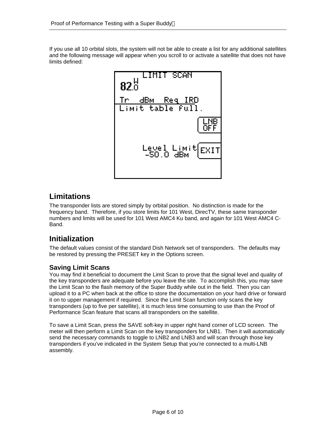If you use all 10 orbital slots, the system will not be able to create a list for any additional satellites and the following message will appear when you scroll to or activate a satellite that does not have limits defined:



### **Limitations**

The transponder lists are stored simply by orbital position. No distinction is made for the frequency band. Therefore, if you store limits for 101 West, DirecTV, these same transponder numbers and limits will be used for 101 West AMC4 Ku band, and again for 101 West AMC4 C-Band.

## **Initialization**

The default values consist of the standard Dish Network set of transponders. The defaults may be restored by pressing the PRESET key in the Options screen.

#### **Saving Limit Scans**

You may find it beneficial to document the Limit Scan to prove that the signal level and quality of the key transponders are adequate before you leave the site. To accomplish this, you may save the Limit Scan to the flash memory of the Super Buddy while out in the field. Then you can upload it to a PC when back at the office to store the documentation on your hard drive or forward it on to upper management if required. Since the Limit Scan function only scans the key transponders (up to five per satellite), it is much less time consuming to use than the Proof of Performance Scan feature that scans all transponders on the satellite.

To save a Limit Scan, press the SAVE soft-key in upper right hand corner of LCD screen. The meter will then perform a Limit Scan on the key transponders for LNB1. Then it will automatically send the necessary commands to toggle to LNB2 and LNB3 and will scan through those key transponders if you've indicated in the System Setup that you're connected to a multi-LNB assembly.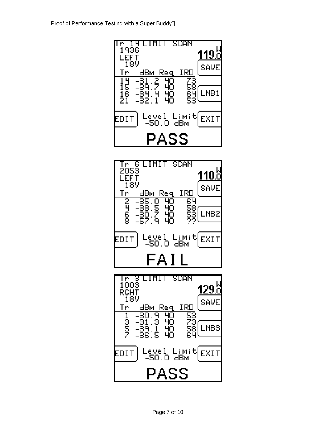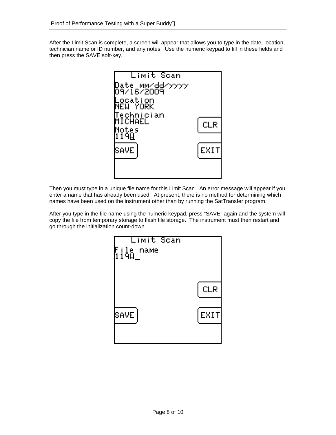After the Limit Scan is complete, a screen will appear that allows you to type in the date, location, technician name or ID number, and any notes. Use the numeric keypad to fill in these fields and then press the SAVE soft-key.



Then you must type in a unique file name for this Limit Scan. An error message will appear if you enter a name that has already been used. At present, there is no method for determining which names have been used on the instrument other than by running the SatTransfer program.

After you type in the file name using the numeric keypad, press "SAVE" again and the system will copy the file from temporary storage to flash file storage. The instrument must then restart and go through the initialization count-down.

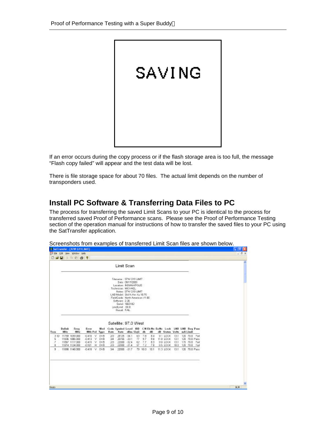

If an error occurs during the copy process or if the flash storage area is too full, the message "Flash copy failed" will appear and the test data will be lost.

There is file storage space for about 70 files. The actual limit depends on the number of transponders used.

### **Install PC Software & Transferring Data Files to PC**

The process for transferring the saved Limit Scans to your PC is identical to the process for transferred saved Proof of Performance scans. Please see the Proof of Performance Testing section of the operation manual for instructions of how to transfer the saved files to your PC using the SatTransfer application.

|        |                        | <b>DGB &amp; RG ?</b>                 |                              |                     |          |                                                                                         |                            |     |                 |           |                                                                                        |              |                                |  |  |
|--------|------------------------|---------------------------------------|------------------------------|---------------------|----------|-----------------------------------------------------------------------------------------|----------------------------|-----|-----------------|-----------|----------------------------------------------------------------------------------------|--------------|--------------------------------|--|--|
|        |                        |                                       |                              |                     |          | Limit Scan                                                                              |                            |     |                 |           |                                                                                        |              |                                |  |  |
|        |                        |                                       |                              |                     |          | Filemanne: 97W G19 LIMT                                                                 | Date: 09/17/2009           |     |                 |           |                                                                                        |              |                                |  |  |
|        |                        |                                       |                              |                     |          | Lecation: INDIANAPOLIS<br>Technician: MICHAEL                                           |                            |     |                 |           |                                                                                        |              |                                |  |  |
|        |                        |                                       |                              |                     |          | Nates: 97W G19 LEAT<br>LNB Model: Std N.Am.Ku 10.75<br>FieldGuide: North American V1 BB |                            |     |                 |           |                                                                                        |              |                                |  |  |
|        |                        |                                       |                              |                     |          | Software: 2.26<br>Serial: 1863182                                                       |                            |     |                 |           |                                                                                        |              |                                |  |  |
|        |                        |                                       |                              |                     |          | LevelLimit: - 60.0<br>Result: FAL                                                       |                            |     |                 |           |                                                                                        |              |                                |  |  |
|        |                        |                                       |                              |                     |          | Satellite: 97.0 West                                                                    |                            |     |                 |           |                                                                                        |              |                                |  |  |
| Tran   | <b>Dulisk</b><br>Miltz | Freq<br>Miltz                         | Error                        | Med<br>MHz Pel Type | Rate     |                                                                                         | Rate dBm SigQ db           |     |                 | dB        | Code Symbol Level IRD CN Eb/No Ex/Ne Lock LNB LNB Raq Pass<br>dB Status Velts mA-Limit |              |                                |  |  |
| 5      |                        | 3 ID 11759 1039 ODB<br>11836 1086 OCD | $-0.410$ V<br>-0.413 V DVB   | <b>DVB</b>          | 25<br>34 |                                                                                         | 20125 -34.1<br>20765 -33.1 | 77. | 65 7.5<br>9.7   | 84<br>98  | 9.1 LOCK<br>11.0 LOCK                                                                  | 13.1<br>13.1 | 120 70.0 Fall<br>120 70.0 Pass |  |  |
| x<br>B |                        | 11887 1117,000<br>11874 1124 000      | $-0.416$ V $UVB$<br>$-0.921$ | H DVB               | 25<br>28 |                                                                                         | 22000 -32.4<br>22000 -31.4 | 57. | 82 7.7<br>$-72$ | 83<br>7.8 | <b>SID LOCK</b><br>8.5 LOCK                                                            | 13.1<br>18.1 | 115 70.0 Fail<br>120 70.0 Fail |  |  |
| 9      |                        | 11898 1148 000                        | $-0.418$ V DVB               |                     | 34       |                                                                                         | 22000 - 31.7               |     | 79 10.0         | 10.1      | 11.3 LOCK                                                                              | 13.1         | 120 70.0 Pass                  |  |  |
|        |                        |                                       |                              |                     |          |                                                                                         |                            |     |                 |           |                                                                                        |              |                                |  |  |
|        |                        |                                       |                              |                     |          |                                                                                         |                            |     |                 |           |                                                                                        |              |                                |  |  |
|        |                        |                                       |                              |                     |          |                                                                                         |                            |     |                 |           |                                                                                        |              |                                |  |  |
|        |                        |                                       |                              |                     |          |                                                                                         |                            |     |                 |           |                                                                                        |              |                                |  |  |
|        |                        |                                       |                              |                     |          |                                                                                         |                            |     |                 |           |                                                                                        |              |                                |  |  |

Screenshots from examples of transferred Limit Scan files are shown below.